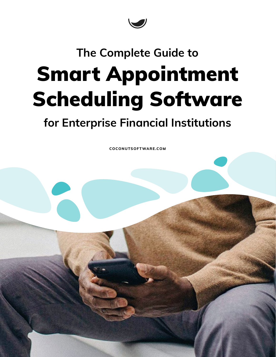

## Smart Appointment Scheduling Software **The Complete Guide to**

## **for Enterprise Financial Institutions**

**[COCONUTSOFTWARE.COM](https://www.coconutsoftware.com/)**

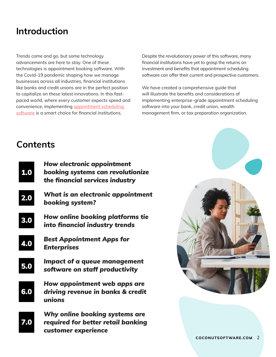## **Introduction**

Trends come and go, but some technology advancements are here to stay. One of these technologies is appointment booking software. With the Covid-19 pandemic shaping how we manage businesses across all industries, financial institutions like banks and credit unions are in the perfect position to capitalize on these latest innovations. In this fastpaced world, where every customer expects speed and convenience, implementing [appointment scheduling](https://en.wikipedia.org/wiki/Appointment_scheduling_software)  [software](https://en.wikipedia.org/wiki/Appointment_scheduling_software) is a smart choice for financial institutions.

Despite the revolutionary power of this software, many financial institutions have yet to grasp the returns on investment and benefits that appointment scheduling software can offer their current and prospective customers.

We have created a comprehensive guide that will illustrate the benefits and considerations of implementing enterprise-grade appointment scheduling software into your bank, credit union, wealth management firm, or tax preparation organization.

### **Contents**

| 1.0 | <b>How electronic appointment</b><br>booking systems can revolutionize<br>the financial services industry |
|-----|-----------------------------------------------------------------------------------------------------------|
| 2.0 | What is an electronic appointment<br>booking system?                                                      |
| 3.0 | How online booking platforms tie<br>into financial industry trends                                        |
| 4.0 | <b>Best Appointment Apps for</b><br><b>Enterprises</b>                                                    |
| 5.0 | <b>Impact of a queue management</b><br>software on staff productivity                                     |
| 6.0 | How appointment web apps are<br>driving revenue in banks & credit<br>unions                               |
| 7.0 | Why online booking systems are<br>required for better retail banking<br>customer experience               |

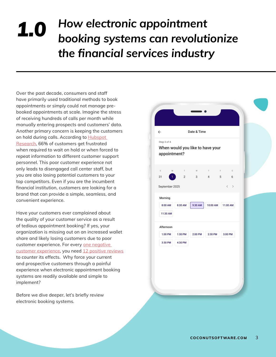## <span id="page-2-0"></span>*How electronic appointment booking systems can revolutionize the financial services industry 1.0*

Over the past decade, consumers and staff have primarily used traditional methods to book appointments or simply could not manage prebooked appointments at scale. Imagine the stress of receiving hundreds of calls per month while manually entering prospects and customers' data. Another primary concern is keeping the customers on hold during calls. According to Hubspot [Research,](https://blog.hubspot.com/news-trends/live-chat-go-to-market-flaw) 66% of customers get frustrated when required to wait on hold or when forced to repeat information to different customer support personnel. This poor customer experience not only leads to disengaged call center staff, but you are also losing potential customers to your top competitors. Even if you are the incumbent financial institution, customers are looking for a brand that can provide a simple, seamless, and convenient experience.

Have your customers ever complained about the quality of your customer service as a result of tedious appointment booking? If yes, your organization is missing out on an increased wallet share and likely losing customers due to poor customer experience. For every one negative [customer experience](http://ww2.glance.net/wp-content/uploads/2015/07/Counting-the-customer_-Glance_eBook-4.pdf), you need [12 positive reviews](https://www.forbes.com/sites/danielnewman/2015/10/13/customer-experience-is-the-future-of-marketing/?sh=1db0b9c4193d)  to counter its effects. Why force your current and prospective customers through a painful experience when electronic appointment booking systems are readily available and simple to implement?

Before we dive deeper, let's briefly review electronic booking systems.

## $\leftarrow$ Date & Time Step 3 of 4When would you like to have your appointment? S M T W T F S 31 **1** 2 3 4 5 6 September 2025  $\epsilon$ Morning 8:00 AM | 8:30 AM | 9:30 AM | 10:00 AM | 11:00 AM 11:30 AM Afternoon 1:00 PM 1:30 PM 2:00 PM 2:30 PM 3:00 PM 3:30 PM 4:30 PM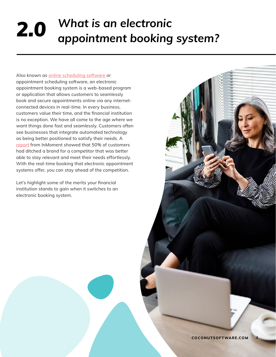# <span id="page-3-0"></span>*What is an electronic 2.0 appointment booking system?*

Also known as [online scheduling software](https://en.wikipedia.org/wiki/Scheduling_software) or appointment scheduling software, an electronic appointment booking system is a web-based program or application that allows customers to seamlessly book and secure appointments online via any internetconnected devices in real-time. In every business, customers value their time, and the financial institution is no exception. We have all come to the age where we want things done fast and seamlessly. Customers often see businesses that integrate automated technology as being better positioned to satisfy their needs. A [report](https://inmoment.com/blog/earning-and-destroying-customer-loyalty-retail-cx-trends-you-need-to-know/) from InMoment showed that 50% of customers had ditched a brand for a competitor that was better able to stay relevant and meet their needs effortlessly. With the real-time booking that electronic appointment systems offer, you can stay ahead of the competition.

Let's highlight some of the merits your financial institution stands to gain when it switches to an electronic booking system.

4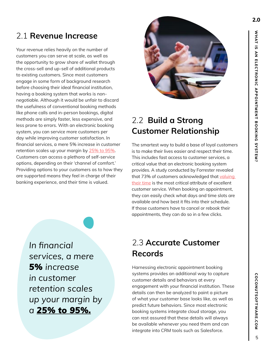### 2.1 **Revenue Increase**

Your revenue relies heavily on the number of customers you can serve at scale, as well as the opportunity to grow share of wallet through the cross-sell and up-sell of additional products to existing customers. Since most customers engage in some form of background research before choosing their ideal financial institution, having a booking system that works is nonnegotiable. Although it would be unfair to discard the usefulness of conventional booking methods like phone calls and in-person bookings, digital methods are simply faster, less expensive, and less prone to errors. With an electronic booking system, you can service more customers per day while improving customer satisfaction. In financial services, a mere 5% increase in customer retention scales up your margin by [25% to 95%.](https://hbswk.hbs.edu/archive/the-economics-of-e-loyalty) Customers can access a plethora of self-service options, depending on their 'channel of comfort.' Providing options to your customers as to how they are supported means they feel in charge of their banking experience, and their time is valued.



## 2.2 **Build a Strong Customer Relationship**

The smartest way to build a base of loyal customers is to make their lives easier and respect their time. This includes fast access to customer services, a critical value that an electronic booking system provides. A study conducted by Forrester revealed that 73% of customers acknowledged that valuing [their time](https://www.groovehq.com/customer-service-statistics) is the most critical attribute of excellent customer service. When booking an appointment, they can easily check what days and time slots are available and how best it fits into their schedule. If those customers have to cancel or rebook their appointments, they can do so in a few clicks.

*In financial services, a mere 5% increase in customer retention scales up your margin by a [25% to 95%.](https://hbswk.hbs.edu/archive/the-economics-of-e-loyalty)*

## 2.3 **Accurate Customer Records**

Harnessing electronic appointment booking systems provides an additional way to capture customer details and behaviors at every engagement with your financial institution. These details can then be analyzed to paint a picture of what your customer base looks like, as well as predict future behaviors. Since most electronic booking systems integrate cloud storage, you can rest assured that these details will always be available whenever you need them and can integrate into CRM tools such as Salesforce.

5

**COCONUTSOFTWARE.COM**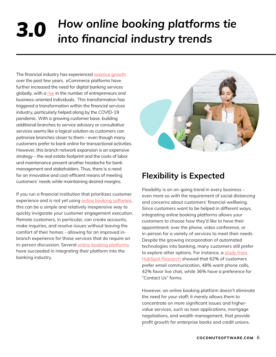# <span id="page-5-0"></span>*How online booking platforms tie 3.0 into financial industry trends*

The financial industry has experienced [massive growth](https://www.nber.org/papers/w13405) over the past few years. eCommerce platforms have further increased the need for digital banking services globally, with a [rise](https://www.entrepreneur.com/article/288286) in the number of entrepreneurs and business-oriented individuals. This transformation has triggered a transformation within the financial services industry, particularly helped along by the COVID-19 pandemic. With a growing customer base, building additional branches to service advisory or consultative services seems like a logical solution as customers can patronize branches closer to them – even though many customers prefer to bank online for transactional activities. However, this branch network expansion is an expensive strategy – the real estate footprint and the costs of labor and maintenance present another headache for bank management and stakeholders. Thus, there is a need for an innovative and cost-efficient means of meeting customers' needs while maintaining desired margins.

If you run a financial institution that prioritizes customer experience and is not yet using [online booking software,](https://www.coconutsoftware.com/) this can be a simple and relatively inexpensive way to quickly invigorate your customer engagement execution. Remote customers, in particular, can create accounts, make inquiries, and resolve issues without leaving the comfort of their homes - allowing for an improved inbranch experience for those services that do require an in-person discussion. Several [online booking platforms](https://www.coconutsoftware.com/) have succeeded in integrating their platform into the banking industry.



### **Flexibility is Expected**

Flexibility is an on-going trend in every business – even more so with the requirement of social distancing and concerns about customers' financial wellbeing. Since customers want to be helped in different ways, integrating online booking platforms allows your customers to choose how they'd like to have their appointment: over the phone, video conference, or in-person for a variety of services to meet their needs. Despite the growing incorporation of automated technologies into banking, many customers still prefer to explore other options. For instance, a study from [HubSpot Research](https://www.hubspot.com/marketing-statistics) showed that 62% of customers prefer email communication, 48% want phone calls, 42% favor live chat, while 36% have a preference for "Contact Us" forms.

However, an online booking platform doesn't eliminate the need for your staff; it merely allows them to concentrate on more significant issues and highervalue services, such as loan applications, mortgage negotiations, and wealth management, that provide profit growth for enterprise banks and credit unions.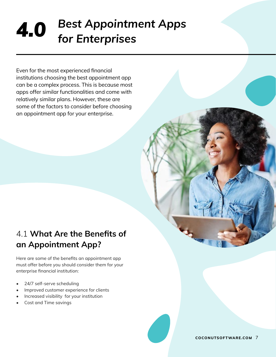# <span id="page-6-0"></span>*Best Appointment Apps 4.0 for Enterprises*

Even for the most experienced financial institutions choosing the best appointment app can be a complex process. This is because most apps offer similar functionalities and come with relatively similar plans. However, these are some of the factors to consider before choosing an appointment app for your enterprise.

## 4.1 **What Are the Benefits of an Appointment App?**

Here are some of the benefits an appointment app must offer before you should consider them for your enterprise financial institution:

- 24/7 self-serve scheduling
- Improved customer experience for clients
- Increased visibility for your institution
- Cost and Time savings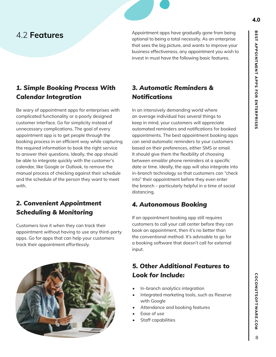4.2 **Features** Appointment apps have gradually gone from being optional to being a total necessity. As an enterprise that sees the big picture, and wants to improve your business effectiveness, any appointment you wish to invest in must have the following basic features.

#### *1. Simple Booking Process With Calendar Integration*

Be wary of appointment apps for enterprises with complicated functionality or a poorly designed customer interface. Go for simplicity instead of unnecessary complications. The goal of every appointment app is to get people through the booking process in an efficient way while capturing the required information to book the right service to answer their questions. Ideally, the app should be able to integrate quickly with the customer's calendar, like Google or Outlook, to remove the manual process of checking against their schedule and the schedule of the person they want to meet with.

#### *2. Convenient Appointment Scheduling & Monitoring*

Customers love it when they can track their appointment without having to use any third-party apps. Go for apps that can help your customers track their appointment effortlessly.



### *3. Automatic Reminders & Notifications*

In an intensively demanding world where an average individual has several things to keep in mind, your customers will appreciate automated reminders and notifications for booked appointments. The best appointment booking apps can send automatic reminders to your customers based on their preferences, either SMS or email. It should give them the flexibility of choosing between email/or phone reminders at a specific date or time. Ideally, the app will also integrate into in-branch technology so that customers can "check into" their appointment before they even enter the branch – particularly helpful in a time of social distancing.

#### *4. Autonomous Booking*

If an appointment booking app still requires customers to call your call center before they can book an appointment, then it's no better than the conventional method. It's advisable to go for a booking software that doesn't call for external input.

#### *5. Other Additional Features to Look for Include:*

- In-branch analytics integration
- Integrated marketing tools, such as Reserve with Google
- Attendance and booking features
- Ease of use
- Staff capabilities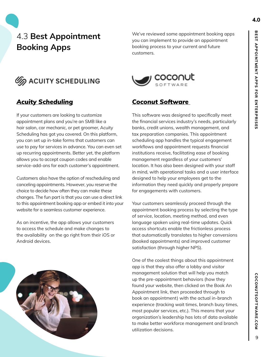## 4.3 **Best Appointment Booking Apps**



#### *[Acuity Scheduling](https://acuityscheduling.com/#gref)*

If your customers are looking to customize appointment plans and you're an SMB like a hair salon, car mechanic, or pet groomer, Acuity Scheduling has got you covered. On this platform, you can set up in-take forms that customers can use to pay for services in advance. You can even set up recurring appointments. Better yet, the platform allows you to accept coupon codes and enable service-add-ons for each customer's appointment.

Customers also have the option of rescheduling and canceling appointments. However, you reserve the choice to decide how often they can make these changes. The fun part is that you can use a direct link to this appointment booking app or embed it into your website for a seamless customer experience.

As an incentive, the app allows your customers to access the schedule and make changes to the availability on the go right from their iOS or Android devices.



We've reviewed some appointment booking apps you can implement to provide an appointment booking process to your current and future customers.



#### *[Coconut Software](http://www.coconutsoftware.com)*

This software was designed to specifically meet the financial services industry's needs, particularly banks, credit unions, wealth management, and tax preparation companies. This appointment scheduling app handles the typical engagement workflows and appointment requests financial institutions receive, facilitating ease of booking management regardless of your customers' location. It has also been designed with your staff in mind, with operational tasks and a user interface designed to help your employees get to the information they need quickly and properly prepare for engagements with customers.

Your customers seamlessly proceed through the appointment booking process by selecting the type of service, location, meeting method, and even language spoken using real-time updates. Quick access shortcuts enable the frictionless process that automatically translates to higher conversions (booked appointments) and improved customer satisfaction (through higher NPS).

One of the coolest things about this appointment app is that they also offer a lobby and visitor management solution that will help you match up the pre-appointment behaviors (how they found your website, then clicked on the Book An Appointment link, then proceeded through to book an appointment) with the actual in-branch experience (tracking wait times, branch busy times, most popular services, etc.). This means that your organization's leadership has lots of data available to make better workforce management and branch utilization decisions.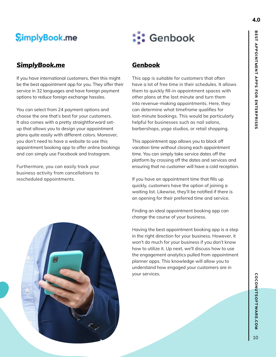## **SimplyBook.me**

#### *[SimplyBook.me](https://simplybook.me/en/)*

If you have international customers, then this might be the best appointment app for you. They offer their service in 32 languages and have foreign payment options to reduce foreign exchange hassles.

You can select from 24 payment options and choose the one that's best for your customers. It also comes with a pretty straightforward setup that allows you to design your appointment plans quite easily with different colors. Moreover, you don't need to have a website to use this appointment booking app to offer online bookings and can simply use Facebook and Instagram.

Furthermore, you can easily track your business activity from cancellations to rescheduled appointments.



#### *[Genbook](https://www.genbook.com/)*

This app is suitable for customers that often have a lot of free time in their schedules. It allows them to quickly fill-in appointment spaces with other plans at the last minute and turn them into revenue-making appointments. Here, they can determine what timeframe qualifies for last-minute bookings. This would be particularly helpful for businesses such as nail salons, barbershops, yoga studios, or retail shopping.

This appointment app allows you to block off vacation time without closing each appointment time. You can simply take service dates off the platform by crossing off the dates and services and ensuring that no customer will have a cold reception.

If you have an appointment time that fills up quickly, customers have the option of joining a waiting list. Likewise, they'll be notified if there is an opening for their preferred time and service.

Finding an ideal appointment booking app can change the course of your business.

Having the best appointment booking app is a step in the right direction for your business. However, it won't do much for your business if you don't know how to utilize it. Up next, we'll discuss how to use the engagement analytics pulled from appointment planner apps. This knowledge will allow you to understand how engaged your customers are in your services.

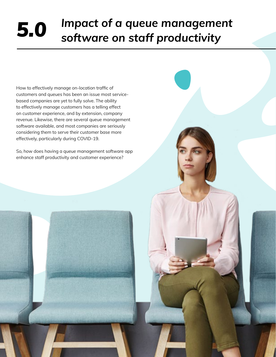## <span id="page-10-0"></span>*Impact of a queue management 5.0 software on staff productivity*

11

How to effectively manage on-location traffic of customers and queues has been an issue most servicebased companies are yet to fully solve. The ability to effectively manage customers has a telling effect on customer experience, and by extension, company revenue. Likewise, there are several queue management software available, and most companies are seriously considering them to serve their customer base more effectively, particularly during COVID-19.

So, how does having a queue management software app enhance staff productivity and customer experience?

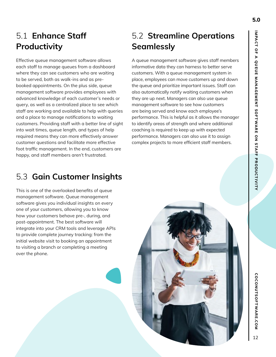**COCONUTSOFTWARE.COM** 

 $12$ 

## 5.1 **Enhance Staff Productivity**

Effective queue management software allows each staff to manage queues from a dashboard where they can see customers who are waiting to be served, both as walk-ins and as prebooked appointments. On the plus side, queue management software provides employees with advanced knowledge of each customer's needs or query, as well as a centralized place to see which staff are working and available to help with queries and a place to manage notifications to waiting customers. Providing staff with a better line of sight into wait times, queue length, and types of help required means they can more effectively answer customer questions and facilitate more effective foot traffic management. In the end, customers are happy, and staff members aren't frustrated.

## 5.2 **Streamline Operations Seamlessly**

A queue management software gives staff members informative data they can harness to better serve customers. With a queue management system in place, employees can move customers up and down the queue and prioritize important issues. Staff can also automatically notify waiting customers when they are up next. Managers can also use queue management software to see how customers are being served and know each employee's performance. This is helpful as it allows the manager to identify areas of strength and where additional coaching is required to keep up with expected performance. Managers can also use it to assign complex projects to more efficient staff members.

### 5.3 **Gain Customer Insights**

This is one of the overlooked benefits of queue management software. Queue management software gives you individual insights on every one of your customers, allowing you to know how your customers behave pre-, during, and post-appointment. The best software will integrate into your CRM tools and leverage APIs to provide complete journey tracking: from the initial website visit to booking an appointment to visiting a branch or completing a meeting over the phone.

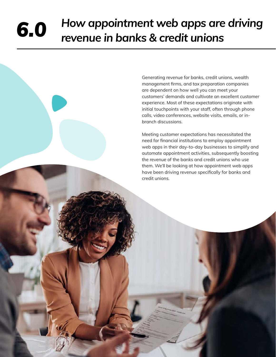## <span id="page-12-0"></span>*How appointment web apps are driving 6.0 revenue in banks & credit unions*

Generating revenue for banks, credit unions, wealth management firms, and tax preparation companies are dependent on how well you can meet your customers' demands and cultivate an excellent customer experience. Most of these expectations originate with initial touchpoints with your staff, often through phone calls, video conferences, website visits, emails, or inbranch discussions.

Meeting customer expectations has necessitated the need for financial institutions to employ appointment web apps in their day-to-day businesses to simplify and automate appointment activities, subsequently boosting the revenue of the banks and credit unions who use them. We'll be looking at how appointment web apps have been driving revenue specifically for banks and credit unions.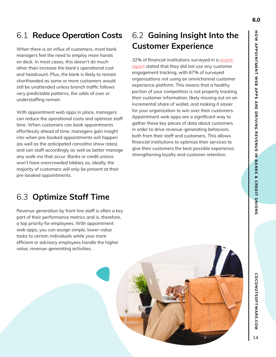### 6.1 **Reduce Operation Costs**

When there is an influx of customers, most bank managers feel the need to employ more hands on deck. In most cases, this doesn't do much other than increase the bank's operational cost and headcount. Plus, the bank is likely to remain shorthanded as some or more customers would still be unattended unless branch traffic follows very predictable patterns, the odds of over or understaffing remain.

With appointment web apps in place, managers can reduce the operational costs and optimize staff time. When customers can book appointments effortlessly ahead of time, managers gain insight into when pre-booked appointments will happen (as well as the anticipated cancel/no show rates) and can staff accordingly as well as better manage any walk-ins that occur. Banks or credit unions won't have overcrowded lobbies as, ideally, the majority of customers will only be present at their pre-booked appointments.

## 6.2 **Gaining Insight Into the Customer Experience**

32% of financial institutions surveyed in a recent [report](https://thefinancialbrand.com/104963/banking-digital-customer-experience-journey-mapping-metrics-trends/) stated that they did not use any customer engagement tracking, with 67% of surveyed organizations not using an omnichannel customer experience platform. This means that a healthy portion of your competition is not properly tracking their customer information, likely missing out on an incremental share of wallet, and making it easier for your organization to win over their customers. Appointment web apps are a significant way to gather these key pieces of data about customers in order to drive revenue-generating behaviors, both from their staff and customers. This allows financial institutions to optimize their services to give their customers the best possible experience, strengthening loyalty and customer retention.

## 6.3 **Optimize Staff Time**

Revenue generation by front line staff is often a key part of their performance metrics and is, therefore, a top priority for employees. With appointment web apps, you can assign simple, lower-value tasks to certain individuals while your more efficient or advisory employees handle the higher value, revenue-generating activities.

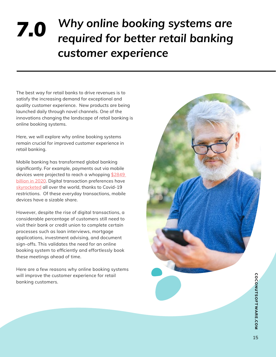## <span id="page-14-0"></span>*Why online booking systems are required for better retail banking customer experience 7.0*

The best way for retail banks to drive revenues is to satisfy the increasing demand for exceptional and quality customer experience. New products are being launched daily through novel channels. One of the innovations changing the landscape of retail banking is online booking systems.

Here, we will explore why online booking systems remain crucial for improved customer experience in retail banking.

Mobile banking has transformed global banking significantly. For example, payments out via mobile devices were projected to reach a whopping [\\$2849](https://www.persistencemarketresearch.com/market-research/mobile-payment-transaction-market.asp)  [billion in 2020](https://www.persistencemarketresearch.com/market-research/mobile-payment-transaction-market.asp). Digital transaction preferences have [skyrocketed](https://www.mckinsey.com/industries/retail/our-insights/adapting-to-the-next-normal-in-retail-the-customer-experience-imperative) all over the world, thanks to Covid-19 restrictions. Of these everyday transactions, mobile devices have a sizable share.

However, despite the rise of digital transactions, a considerable percentage of customers still need to visit their bank or credit union to complete certain processes such as loan interviews, mortgage applications, investment advising, and document sign-offs. This validates the need for an online booking system to efficiently and effortlessly book these meetings ahead of time.

Here are a few reasons why online booking systems will improve the customer experience for retail banking customers.

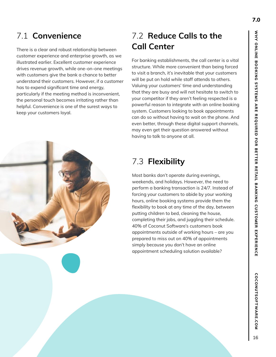There is a clear and robust relationship between customer experience and enterprise growth, as we illustrated earlier. Excellent customer experience drives revenue growth, while one-on-one meetings with customers give the bank a chance to better understand their customers. However, if a customer has to expend significant time and energy, particularly if the meeting method is inconvenient, the personal touch becomes irritating rather than helpful. Convenience is one of the surest ways to keep your customers loyal.

## 7.2 **Reduce Calls to the Call Center**

For banking establishments, the call center is a vital structure. While more convenient than being forced to visit a branch, it's inevitable that your customers will be put on hold while staff attends to others. Valuing your customers' time and understanding that they are busy and will not hesitate to switch to your competitor if they aren't feeling respected is a powerful reason to integrate with an online booking system. Customers looking to book appointments can do so without having to wait on the phone. And even better, through these digital support channels, may even get their question answered without having to talk to anyone at all.

## 7.3 **Flexibility**

Most banks don't operate during evenings, weekends, and holidays. However, the need to perform a banking transaction is 24/7. Instead of forcing your customers to abide by your working hours, online booking systems provide them the flexibility to book at any time of the day, between putting children to bed, cleaning the house, completing their jobs, and juggling their schedule. 40% of Coconut Software's customers book appointments outside of working hours – are you prepared to miss out on 40% of appointments simply because you don't have an online appointment scheduling solution available?